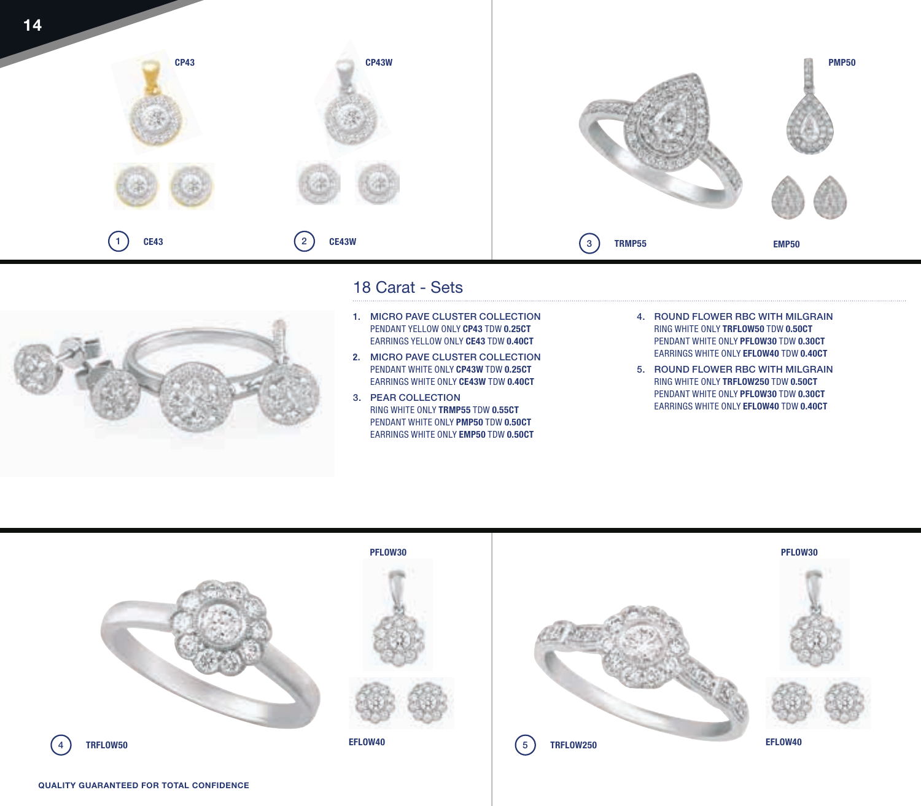



## 18 Carat - Sets

- 1. MICRO PAVE CLUSTER COLLECTION PENDANT YELLOW ONLY **CP43** TDW **0.25CT** EARRINGS YELLOW ONLY **CE43** TDW **0.40CT**
- **2.** MICRO PAVE CLUSTER COLLECTION PENDANT WHITE ONLY **CP43W** TDW **0.25CT** EARRINGS WHITE ONLY **CE43W** TDW **0.40CT**
- 3. PEAR COLLECTION RING WHITE ONLY **TRMP55** TDW **0.55CT**  PENDANT WHITE ONLY **PMP50** TDW **0.50CT**  EARRINGS WHITE ONLY **EMP50** TDW **0.50CT**
- 4. ROUND FLOWER RBC WITH MILGRAIN RING WHITE ONLY **TRFLOW50** TDW **0.50CT** PENDANT WHITE ONLY **PFLOW30** TDW **0.30CT** EARRINGS WHITE ONLY **EFLOW40** TDW **0.40CT**
- 5. ROUND FLOWER RBC WITH MILGRAIN RING WHITE ONLY **TRFLOW250** TDW **0.50CT** PENDANT WHITE ONLY **PFLOW30** TDW **0.30CT** EARRINGS WHITE ONLY **EFLOW40** TDW **0.40CT**